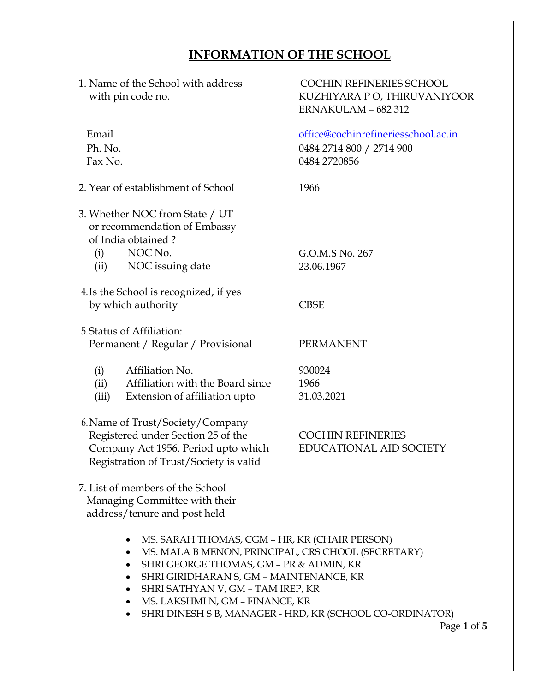## **INFORMATION OF THE SCHOOL**

1. Name of the School with address with pin code no.

COCHIN REFINERIES SCHOOL KUZHIYARA P O, THIRUVANIYOOR ERNAKULAM – 682 312

Email office@cochinrefineriesschool.ac.in Ph. No. 0484 2714 800 / 2714 900 Fax No. 0484 2720856

- 2. Year of establishment of School 1966
- 3. Whether NOC from State / UT or recommendation of Embassy of India obtained ?
	- (i) NOC No. G.O.M.S No. 267
	- (ii) NOC issuing date 23.06.1967
- 4.Is the School is recognized, if yes by which authority CBSE
- 5.Status of Affiliation: Permanent / Regular / Provisional PERMANENT
	- (i) Affiliation No. 930024
	- (ii) Affiliation with the Board since 1966
	- (iii) Extension of affiliation upto 31.03.2021
- 6.Name of Trust/Society/Company Registered under Section 25 of the COCHIN REFINERIES Company Act 1956. Period upto which EDUCATIONAL AID SOCIETY Registration of Trust/Society is valid

- 7. List of members of the School Managing Committee with their address/tenure and post held
	- MS. SARAH THOMAS, CGM HR, KR (CHAIR PERSON)
	- MS. MALA B MENON, PRINCIPAL, CRS CHOOL (SECRETARY)
	- SHRI GEORGE THOMAS, GM PR & ADMIN, KR
	- SHRI GIRIDHARAN S, GM MAINTENANCE, KR
	- SHRI SATHYAN V, GM TAM IREP, KR
	- MS. LAKSHMI N, GM FINANCE, KR
	- SHRI DINESH S B, MANAGER HRD, KR (SCHOOL CO-ORDINATOR)

Page **1** of **5**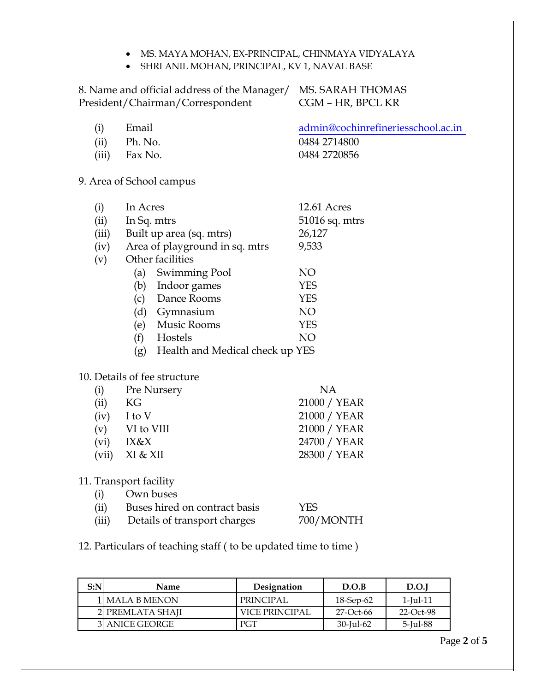- MS. MAYA MOHAN, EX-PRINCIPAL, CHINMAYA VIDYALAYA
- SHRI ANIL MOHAN, PRINCIPAL, KV 1, NAVAL BASE

8. Name and official address of the Manager/ MS. SARAH THOMAS<br>President/Chairman/Correspondent CGM - HR, BPCL KR President/Chairman/Correspondent

| (i)   | Email   | admin@cochinrefineriesschool.ac.in |
|-------|---------|------------------------------------|
| (ii)  | Ph. No. | 0484 2714800                       |
| (iii) | Fax No. | 0484 2720856                       |

9. Area of School campus

| (i)   | In Acres                               | <b>12.61 Acres</b> |
|-------|----------------------------------------|--------------------|
| (ii)  | In Sq. mtrs                            | 51016 sq. mtrs     |
| (iii) | Built up area (sq. mtrs)               | 26,127             |
| (iv)  | Area of playground in sq. mtrs         | 9,533              |
| (v)   | Other facilities                       |                    |
|       | Swimming Pool<br>(a)                   | NO                 |
|       | Indoor games<br>(b)                    | <b>YES</b>         |
|       | Dance Rooms<br>(c)                     | <b>YES</b>         |
|       | (d)<br>Gymnasium                       | NO                 |
|       | <b>Music Rooms</b><br>(e)              | <b>YES</b>         |
|       | (f)<br>Hostels                         | NΟ                 |
|       | Health and Medical check up YES<br>(g) |                    |

## 10. Details of fee structure

| (i)   | Pre Nursery | <b>NA</b>    |
|-------|-------------|--------------|
| (ii)  | KG          | 21000 / YEAR |
| (iv)  | I to V      | 21000 / YEAR |
| (v)   | VI to VIII  | 21000 / YEAR |
| (vi)  | IX&X        | 24700 / YEAR |
| (vii) | XI & XII    | 28300 / YEAR |
|       |             |              |

## 11. Transport facility

| (i)   | Own buses                     |            |
|-------|-------------------------------|------------|
| (ii)  | Buses hired on contract basis | <b>YES</b> |
| (iii) | Details of transport charges  | 700/MONTH  |

12. Particulars of teaching staff ( to be updated time to time )

| S:N | <b>Name</b>      | Designation      | D.O.B        | D.O.I          |  |
|-----|------------------|------------------|--------------|----------------|--|
|     | l  MALA B MENON  | <b>PRINCIPAL</b> | 18-Sep-62    | $1$ -Jul- $11$ |  |
|     | 2 PREMLATA SHAII | VICE PRINCIPAL   | 27-Oct-66    | 22-Oct-98      |  |
|     | 3 ANICE GEORGE   | PGT              | $30$ -Jul-62 | 5-Jul-88       |  |

Page **2** of **5**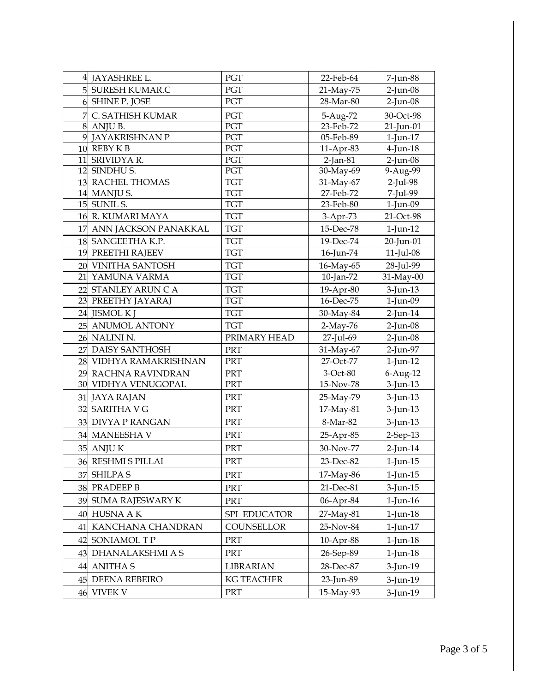|    | 4 JAYASHREE L.          | PGT               | 22-Feb-64  | 7-Jun-88       |
|----|-------------------------|-------------------|------------|----------------|
|    | 5 SURESH KUMAR.C        | PGT               | 21-May-75  | $2$ -Jun-08    |
|    | 6 SHINE P. JOSE<br>PGT  |                   | 28-Mar-80  | $2$ -Jun-08    |
|    | 7 C. SATHISH KUMAR      | PGT               | 5-Aug-72   | 30-Oct-98      |
|    | 8 ANJU B.               | PGT               | 23-Feb-72  | 21-Jun-01      |
|    | 9 JAYAKRISHNAN P        | PGT               | 05-Feb-89  | 1-Jun-17       |
|    | 10 REBY K B             | PGT               | 11-Apr-83  | $4$ -Jun- $18$ |
|    | 11 SRIVIDYA R.          | PGT               | 2-Jan-81   | $2$ -Jun-08    |
|    | 12 SINDHU S.            | PGT               | 30-May-69  | 9-Aug-99       |
|    | 13 RACHEL THOMAS        | <b>TGT</b>        | 31-May-67  | $2$ -Jul-98    |
|    | 14 MANJU S.             | <b>TGT</b>        | 27-Feb-72  | 7-Jul-99       |
|    | 15 SUNIL S.             | TGT               | 23-Feb-80  | 1-Jun-09       |
|    | 16 R. KUMARI MAYA       | <b>TGT</b>        | 3-Apr-73   | 21-Oct-98      |
|    | 17 ANN JACKSON PANAKKAL | <b>TGT</b>        | 15-Dec-78  | $1$ -Jun- $12$ |
|    | 18 SANGEETHA K.P.       | <b>TGT</b>        | 19-Dec-74  | 20-Jun-01      |
|    | 19 PREETHI RAJEEV       | <b>TGT</b>        | 16-Jun-74  | $11$ -Jul-08   |
|    | 20 VINITHA SANTOSH      | <b>TGT</b>        | 16-May-65  | 28-Jul-99      |
|    | 21 YAMUNA VARMA         | <b>TGT</b>        | 10-Jan-72  | 31-May-00      |
|    | 22 STANLEY ARUN C A     | <b>TGT</b>        | 19-Apr-80  | $3$ -Jun-13    |
|    | 23 PREETHY JAYARAJ      | <b>TGT</b>        | 16-Dec-75  | $1$ -Jun-09    |
|    | 24 JISMOL K J           | <b>TGT</b>        | 30-May-84  | $2$ -Jun-14    |
|    | 25 ANUMOL ANTONY        | <b>TGT</b>        | $2-May-76$ | $2$ -Jun-08    |
|    | 26 NALINI N.            | PRIMARY HEAD      | 27-Jul-69  | $2$ -Jun-08    |
|    | 27 DAISY SANTHOSH       | PRT               | 31-May-67  | 2-Jun-97       |
|    | 28 VIDHYA RAMAKRISHNAN  | PRT               | 27-Oct-77  | $1$ -Jun- $12$ |
|    | 29 RACHNA RAVINDRAN     | <b>PRT</b>        | 3-Oct-80   | 6-Aug-12       |
|    | 30 VIDHYA VENUGOPAL     | PRT               | 15-Nov-78  | $3$ -Jun-13    |
|    | 31 JAYA RAJAN           | PRT               | 25-May-79  | $3$ -Jun-13    |
|    | 32 SARITHA V G          | PRT               | 17-May-81  | 3-Jun-13       |
|    | 33 DIVYA P RANGAN       | PRT               | 8-Mar-82   | $3$ -Jun-13    |
|    | 34 MANEESHA V           | PRT               | 25-Apr-85  | $2$ -Sep-13    |
|    | $35$ ANJU K             | PRT               | 30-Nov-77  | $2$ -Jun-14    |
|    | 36 RESHMI S PILLAI      | PRT               | 23-Dec-82  | 1-Jun-15       |
| 37 | <b>SHILPAS</b>          | PRT               | 17-May-86  | $1$ -Jun- $15$ |
|    | 38 PRADEEP B            | PRT               | 21-Dec-81  | $3$ -Jun-15    |
|    | 39 SUMA RAJESWARY K     | PRT               | 06-Apr-84  | $1$ -Jun- $16$ |
| 40 | <b>HUSNA A K</b>        | SPL EDUCATOR      | 27-May-81  | $1$ -Jun- $18$ |
| 41 | KANCHANA CHANDRAN       | COUNSELLOR        | 25-Nov-84  |                |
|    |                         |                   |            | $1$ -Jun- $17$ |
|    | 42 SONIAMOL T P         | PRT               | 10-Apr-88  | $1$ -Jun- $18$ |
| 43 | DHANALAKSHMI A S        | PRT               | 26-Sep-89  | 1-Jun-18       |
| 44 | <b>ANITHAS</b>          | LIBRARIAN         | 28-Dec-87  | $3$ -Jun-19    |
| 45 | DEENA REBEIRO           | <b>KG TEACHER</b> | 23-Jun-89  | $3$ -Jun-19    |
|    | 46 VIVEK V              | PRT               | 15-May-93  | $3$ -Jun-19    |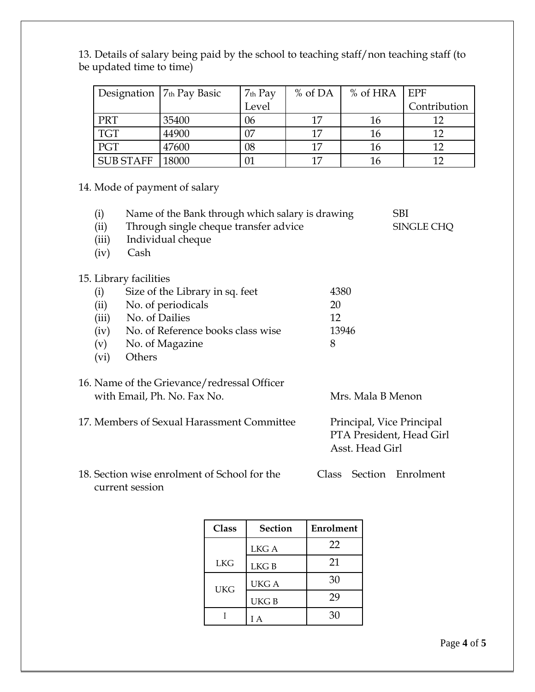|                  | Designation $7th$ Pay Basic | $7th$ Pay | $%$ of DA | $%$ of HRA $ $ EPF |              |
|------------------|-----------------------------|-----------|-----------|--------------------|--------------|
|                  |                             | Level     |           |                    | Contribution |
| <b>PRT</b>       | 35400                       | 06        | 17        | 16                 |              |
| <b>TGT</b>       | 44900                       | 07        | 17        | 16                 | 1າ           |
| PGT              | 47600                       | 08        | 17        | 16                 |              |
| <b>SUB STAFF</b> | 18000                       | 01        | 17        | 16                 | 1າ           |

13. Details of salary being paid by the school to teaching staff/non teaching staff (to be updated time to time)

14. Mode of payment of salary

| (i)   | Name of the Bank through which salary is drawing |                                              | <b>SBI</b>               |
|-------|--------------------------------------------------|----------------------------------------------|--------------------------|
| (ii)  | Through single cheque transfer advice            |                                              | SINGLE CHQ               |
| (iii) | Individual cheque                                |                                              |                          |
| (iv)  | Cash                                             |                                              |                          |
|       | 15. Library facilities                           |                                              |                          |
| (i)   | Size of the Library in sq. feet                  | 4380                                         |                          |
| (ii)  | No. of periodicals                               | 20                                           |                          |
| (iii) | No. of Dailies                                   | 12                                           |                          |
| (iv)  | No. of Reference books class wise                | 13946                                        |                          |
| (v)   | No. of Magazine                                  | 8                                            |                          |
| (vi)  | Others                                           |                                              |                          |
|       | 16. Name of the Grievance/redressal Officer      |                                              |                          |
|       | with Email, Ph. No. Fax No.                      | Mrs. Mala B Menon                            |                          |
|       | 17. Members of Sexual Harassment Committee       | Principal, Vice Principal<br>Asst. Head Girl | PTA President, Head Girl |
|       |                                                  |                                              |                          |

18. Section wise enrolment of School for the Class Section Enrolment current session

| Class<br><b>Section</b> |             | Enrolment |
|-------------------------|-------------|-----------|
|                         | LKG A       | 22        |
| <b>LKG</b>              | LKG B       | 21        |
| <b>UKG</b>              | <b>UKGA</b> | 30        |
|                         | <b>UKGB</b> | 29        |
|                         | IΑ          | 30        |